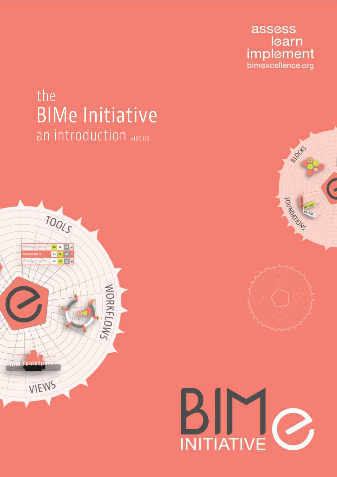assess learn **implement**<br>bimexcellence.org

# the **BIMe Initiative** an introduction v180118







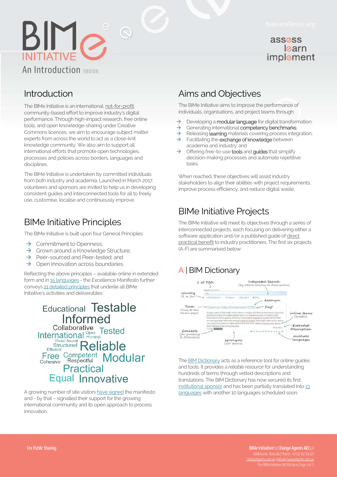

#### assess learn implement

## Introduction

The BIMe Initiative is an international, not-for-profit, community-based effort to improve industry's digital performance. Through high-impact research, free online tools, and open knowledge-sharing under Creative Commons licences, we aim to encourage subject matter experts from across the world to act as a close-knit knowledge community. We also aim to support all international efforts that promote open technologies, processes and policies across borders, languages and disciplines.

The BIMe Initiative is undertaken by committed individuals from both industry and academia. Launched in March 2017, volunteers and sponsors are invited to help us in developing consistent guides and interconnected tools for all to freely use, customise, localise and continuously improve.

## BIMe Initiative Principles

The BIMe Initiative is built upon four General Principles:

- $\rightarrow$  Commitment to Openness;<br>  $\rightarrow$  Grown around a Knowledge
- Grown around a Knowledge Structure;
- $\rightarrow$  Peer-sourced and Peer-tested; and
- $\rightarrow$  Open Innovation across boundaries.

Reflecting the above principles – available online in extended form and i[n 15 languages -](http://bimexcellence.org/principles/) the Excellence Manifesto further convey[s 21 detailed principles t](http://bimexcellence.org/principles/manifesto/)hat underlie all BIMe Initiative's activities and deliverables:

#### **Educational Testable** Informed Collaborative<br>International Penest<br>Tested **Structured Reliable** Efficient Free Competent Modular Practical **Equal Innovative**

A growing number of site visitor[s have signed t](http://bimexcellence.org/principles/manifesto/signatories/)he manifesto and - by that – signalled their support for the growing international community and its open approach to process innovation.

# [Aims and Objectives](http://bimexcellence.org/)

The BIMe Initiative aims to improve the performance of individuals, organisations, and project teams through:

- 
- $\rightarrow$  Developing a **modular language** for digital transformation;<br>  $\rightarrow$  Generating international **competency benchmarks**: Generating international competency benchmarks;
- $\rightarrow$  Releasing **learning** materials covering process integration;
- $\rightarrow$  Facilitating the exchange of knowledge between academia and industry; and
- $\rightarrow$  Offering free-to-use **tools** and **guides** that simplify decision-making processes and automate repetitive tasks.

When reached, these objectives will assist industry stakeholders to align their abilities with project requirements, improve process efficiency, and reduce digital waste.

# BIMe Initiative Projects

The BIMe Initiative will meet its objectives through a series of interconnected projects, each focusing on delivering either a software application and/or a published guide of direct practical benefit to industry practitioners. The first six projects (A-F) are summarised below:

# **A** | BIM Dictionary



The **BIM Dictionary** acts as a reference tool for online guides and tools. It provides a *reliable resource* for understanding hundreds of terms through vetted descriptions and translations. The BIM Dictionary has now secured its first [institutional sponsor a](https://bimdictionary.com/sponsor/)nd has been partially translated int[o 13](http://bimexcellence.org/projects/bim-dictionary/editorial-team/)  [languages w](http://bimexcellence.org/projects/bim-dictionary/editorial-team/)ith another 10 languages scheduled soon.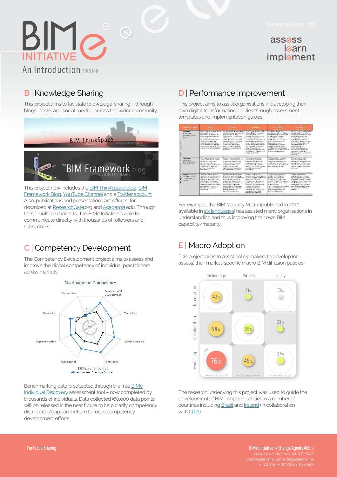#### assess learn implement

#### **B** | Knowledge Sharing

An Introduction 1180108

 $BIM_{\mathcal{O}_{1}}$ 

This project aims to facilitate knowledge-sharing – through blogs, books and social media - across the wider community.



This project now includes th[e BIM ThinkSpace blog,](http://bimthinkspace.com/) [BIM](http://bimframework.info/)  [Framework Blog,](http://bimframework.info/) [YouTube Channel a](https://www.youtube.com/c/Bimframeworks)nd [a Twitter account.](https://twitter.com/BIMeInitiative)  Also, publications and presentations are offered for download at [ResearchGate.o](https://www.researchgate.net/project/BIMe-Initiative)rg an[d Academia.e](https://uts.academia.edu/BilalSuccar)du. Through these multiple channels, the BIMe Initiative is able to communicate directly with thousands of followers and subscribers.

#### **C** | Competency Development

The Competency Development project aims to assess and improve the digital competency of individual practitioners across markets.



Benchmarking data is collected through the fre[e BIMe](http://bimexcellence.com/assess/campaign/default/)  [Individual Discovery](http://bimexcellence.com/assess/campaign/default/) assessment tool – now completed by thousands of individuals. Data collected (60,000 data points) will be released in the near future to help clarify competency distribution/gaps and where to focus competency development efforts.

#### **D** [| Performance Improvement](http://bimexcellence.org/)

This project aims to assist organisations in developing their own digital transformation abilities through assessment templates and implementation guides.

|  | Visit Mahalifu Arams of                                                | <b>PETIAL</b>                                                                                                                                                                                                                                                                                                                                        | 106/49910                                                                                                                                                                                                                                                                                                                                                                                    | <b>MANAGED</b>                                                                                                                                                                                                                                                                                                                                                                                                                                             | <b>INTHERATIO</b>                                                                                                                                                                                                                                                                                                                                                                                                                          | <b>GPTML7FD</b>                                                                                                                                                                                                                                                                                                                                                                                                                                              |
|--|------------------------------------------------------------------------|------------------------------------------------------------------------------------------------------------------------------------------------------------------------------------------------------------------------------------------------------------------------------------------------------------------------------------------------------|----------------------------------------------------------------------------------------------------------------------------------------------------------------------------------------------------------------------------------------------------------------------------------------------------------------------------------------------------------------------------------------------|------------------------------------------------------------------------------------------------------------------------------------------------------------------------------------------------------------------------------------------------------------------------------------------------------------------------------------------------------------------------------------------------------------------------------------------------------------|--------------------------------------------------------------------------------------------------------------------------------------------------------------------------------------------------------------------------------------------------------------------------------------------------------------------------------------------------------------------------------------------------------------------------------------------|--------------------------------------------------------------------------------------------------------------------------------------------------------------------------------------------------------------------------------------------------------------------------------------------------------------------------------------------------------------------------------------------------------------------------------------------------------------|
|  | Software:<br>and kind on<br>doucests or and<br>$d \times n$            | Minor of so been a granted<br>in promoving the next<br>santos ilabori d'altraceis anti-<br>school on to instaly generate.<br>percepted 201<br>mproposation children alder-<br>bidio masego, visco ago, and-<br>estimations was set certainst<br>within consequentiates, or proper-<br>www.customage.customage.cu<br>severe took of intercoorability. | for ware users are sturringly<br>unified which as organization or<br>project topins (multiple).<br>argument of the designed<br>reflecting or desponse and A Tax-<br>well as 3 Frederica ables. Date:<br>experience where are no are a member of con-<br>www.com/direction.com/driver<br>requestions wednessed.<br>Beers, Figurent in data<br>profitability are controlled and<br>permission. | flot back a schooliers are usually<br>Is compelled and managers.<br>accuration to policies.<br>ciriboration. Models and the<br>house for this beam in a<br>none-artisfery, pairefeature.<br>sounding income and died.<br>stative. Only states stategy.<br>man word are more were management.<br>since trendebilized. Det a florar et<br>cides managers of the restal.<br>menered intermenable data.<br>experiences are mandates and<br>closely manifested. | <b>Sulting Ann Address for New York</b><br>distinguished in a state of the con-<br>objectives, not just occurational<br>standoppened verticités.<br>Court were could be could did<br>versibilität exposition v<br>and "chi's hypers in his hard<br>foundation controls are:<br>a Lancement Archive Engine<br>story to your decision on a<br>receipted and performed as-<br>port of an avoid), organizational<br>or project team strategic. | Celerias con a "calvage to us<br>is coming ought an Asian to 1<br>cabatog product vity and other<br>with an algebra objectives.<br>Mounting delivered became<br>not finded since moderness.<br>policitan in Lond Street can<br>say locate is a chiespin in and<br>successful and weapons. All<br>of the step matters.<br>interciperable data ussee:<br>planside and ipichangic ard<br>Locumentos, controlles.<br>reflamas aponiana procedurity<br>projection |
|  | Harrisoner<br>city is world<br>disponsition and<br>loss jon/ nobil :-  | SIM consider cost in machinessing.<br>scottling less are too low or<br>internal-territorium, they<br>committee avec insight well.<br>ing for nor and or extrapolary axis<br>rested roless, femalest<br>performed onts often.<br>caracteristics.                                                                                                      | Fredericky successions:<br>to A hoursell the site of the state of<br>prophetic easy concerns area.<br>meloses, homes wi-for and<br>standardiser annual las<br>pigenicalizm Handurghe<br>replacements and ustanded<br>and and configurations. Benefits                                                                                                                                        | A right of client to a<br>francescorbe continent.<br>ananative specific site one labor<br>seniervon invedence in<br>handwarely undi-serpited by<br>enhance staff replatity sehem-<br>meanwell engineering to Mind.<br>generacions.                                                                                                                                                                                                                         | Esploated decisions tale are<br>tended as 314 outdots.<br>many crowd insurance was in-<br>ich lyfe wood with fibracial<br>plans business drawingser?<br>partomerage objectives.                                                                                                                                                                                                                                                            | Fully increase and the State<br>Innovação Saludiana de 1<br>president and cliented percentives.<br>was declared and headquarter<br>League as post of perpendicum's.<br>or project typing competitive.<br>wheel are.                                                                                                                                                                                                                                          |
|  |                                                                        |                                                                                                                                                                                                                                                                                                                                                      |                                                                                                                                                                                                                                                                                                                                                                                              |                                                                                                                                                                                                                                                                                                                                                                                                                                                            |                                                                                                                                                                                                                                                                                                                                                                                                                                            |                                                                                                                                                                                                                                                                                                                                                                                                                                                              |
|  | Network likely ma-<br>drawwals or and<br>prescribe/ presence<br>conzo. | Artwork columns are see-<br>exhibiting or ordinary includes with<br>magnitudions fonde lassmos?<br>disposition and publishmen and<br>una-shapever cod-formal or<br>che e confederare disearches.<br>Stylesischlanders Seinsabeceln<br>infraction, she recreated to<br>hamvest, stone says shares<br><b>Exclusive Street</b>                          | Network sources for shower<br>In Instruction and conducition<br>access arc king's led with a proces-<br>fictions propositions at<br>project least stringenther.<br>exercity had contribution to for-<br>sharing paterior colors.<br>Discersed protectations and<br>project tevers are connected.<br>the stock selections to con-<br>base in chy connections.                                 | Network couldons for<br>hamostate, storkio and shorted<br>Encolociac within and between.<br>creamerians are sent.<br>anatogened from other programs<br>platform for in sending<br>anchor and all Characteristics are ap-<br>mensivement, cools are<br>contrary) a reculate<br>at midstates, and terroristic away.<br>cath shared berges high.<br>beneversith commercions.                                                                                  | Write only columns or other<br>multiple facent of the ALA.<br>process to be introduced.<br>theough accords to rest that a<br>showing of take information and<br>Installman Salation action-<br>predoctividuality.<br>necessario aportato artistine reduo<br>data-riterative interchange-<br>tin for terms of the weather that<br>between state holders.                                                                                    | NOTARRY SOULDERS ERO<br>continuously appealed and<br>included the first viscostors<br>Innovations, Newworks facilitats.<br>keinscheinen werden in der kan-<br>de non-daminer interest.<br>si diadedonante Carrieroso inter of<br>investment cases entries and<br>toar munica israely reserved in<br>sedan closes."                                                                                                                                           |
|  |                                                                        |                                                                                                                                                                                                                                                                                                                                                      |                                                                                                                                                                                                                                                                                                                                                                                              |                                                                                                                                                                                                                                                                                                                                                                                                                                                            |                                                                                                                                                                                                                                                                                                                                                                                                                                            |                                                                                                                                                                                                                                                                                                                                                                                                                                                              |

For example, the BIM Maturity Matrix (published in 2010, available i[n six languages\)](http://bimexcellence.org/resources/300series/301in/) has assisted many organisations in understanding and thus improving their own BIM capability/maturity.

#### **E** | Macro Adoption

This project aims to assist policy makers to develop (or assess) their market-specific macro BIM diffusion policies:



The research underlying this project was used to guide the development of BIM adoption policies in a number of countries includin[g Brazil](https://www.academia.edu/14899332/BUILDING_INFORMATION_MODELING_NO_BRASIL_E_NA_UNI%C3%A3o_europeia_ESTRAT%C3%89GIAS_PARA_DIFUS%C3%83O_DO_BIM_NO_BRASIL) an[d Ireland \(](http://bimexcellence.org/projects/macro-adoption/macro-ireland/)in collaboration wit[h CITA\).](http://www.bicp.ie/irish-bim-study/)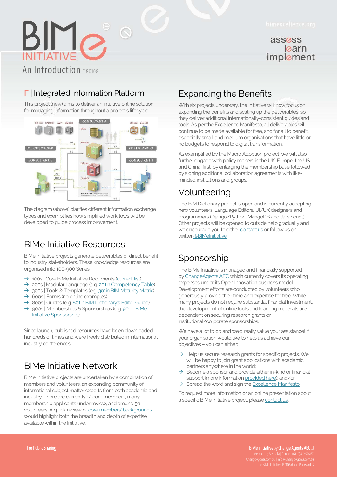#### assess learn implement

# $BIM_{\odot}$ An Introduction 1180108

# **F** [| Integrated Information Platform](http://bimexcellence.org/)

This project (new) aims to deliver an intuitive online solution for managing information throughout a project's lifecycle.



The diagram (above) clarifies different information exchange types and exemplifies how simplified workflows will be developed to guide process improvement.

# BIMe Initiative Resources

BIMe Initiative projects generate deliverables of direct benefit to industry stakeholders. These knowledge resources are organised into 100-900 Series:

- $\rightarrow$  100s | Core BIMe Initiative Documents (current list)
- → 200s | Modular Language (e.g[. 201in Competency Table\)](http://bimexcellence.org/resources/200series/201in/)
- $\rightarrow$  300s | Tools & Templates (e.g. 301in BIM Maturity Matrix)
- $\rightarrow$  600s | Forms (no online examples)
- → 800s | Guides (e.g. [801in BIM Dictionary's Editor Guide](http://bimexcellence.org/resources/800series/801in/))
- $\rightarrow$  900s | Memberships & Sponsorships (e.g. 901in BIMe [Initiative Sponsorship\)](http://bimexcellence.org/resources/900series/901in/)

Since launch, published resources have been downloaded hundreds of times and were freely distributed in international industry conferences.

# BIMe Initiative Network

BIMe Initiative projects are undertaken by a combination of members and volunteers, an expanding community of international subject matter experts from both academia and industry. There are currently 12 core members, many membership applicants under review, and around 50 volunteers. A quick review of [core members' backgrounds](http://bimexcellence.org/members-and-volunteers/members/) would highlight both the breadth and depth of expertise available within the Initiative.

# Expanding the Benefits

With six projects underway, the Initiative will now focus on expanding the benefits and scaling up the deliverables, so they deliver additional internationally-consistent guides and tools. As per the Excellence Manifesto, all deliverables will continue to be made available for free, and for all to benefit, especially small and medium organisations that have little or no budgets to respond to digital transformation.

As exemplified by the Macro Adoption project, we will also further engage with policy makers in the UK, Europe, the US and China, first, by enlarging the membership base followed by signing additional collaboration agreements with likeminded institutions and groups.

# Volunteering

The BIM Dictionary project is open and is currently accepting new volunteers: Language Editors, UI/UX designers and programmers (Django/Python, MangoDB and JavaScript). Other projects will be opened to outside help gradually and we encourage you to eithe[r contact us o](http://bimexcellence.org/contact/)r follow us on twitter @BIMeInitiative.

# **Sponsorship**

The BIMe Initiative is managed and financially supported by [ChangeAgents AEC w](http://changeagents.com.au/)hich currently covers its operating expenses under its Open Innovation business model. Development efforts are conducted by volunteers who generously provide their time and expertise for free. While many projects do not require substantial financial investment. the development of online tools and learning materials are dependent on securing research grants or institutional/corporate sponsorships.

We have a lot to do and we'd really value your assistance! If your organisation would like to help us achieve our objectives – you can either:

- $\rightarrow$  Help us secure research grants for specific projects. We will be happy to join grant applications with academic partners anywhere in the world;
- $\rightarrow$  Become a sponsor and provide either in-kind or financial support (more informatio[n provided here\);](http://bimexcellence.org/resources/900series/901in/) and/or
- $\rightarrow$  Spread the word and sign th[e Excellence Manifesto!](http://bimexcellence.org/principles/manifesto/)

To request more information or an online presentation about a specific BIMe Initiative project, pleas[e contact us.](http://bimexcellence.org/contact/) 

BIMe Initiative by Change Agents AEC p/l The BIMe Initiative 180108.docx | Page 4 of  $\,$  5